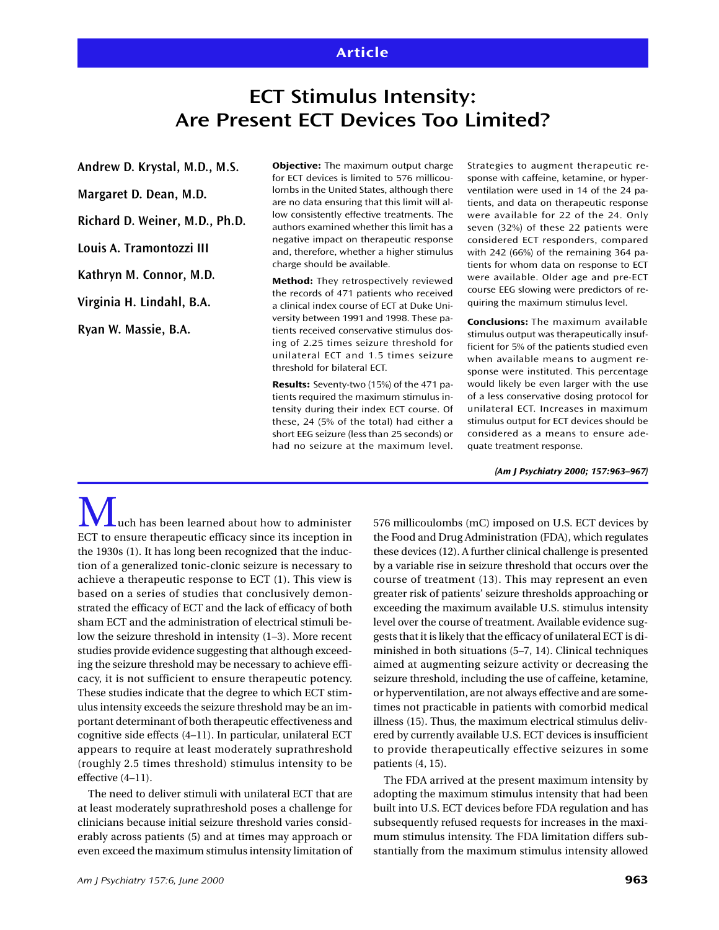## **Article**

# **ECT Stimulus Intensity: Are Present ECT Devices Too Limited?**

**Andrew D. Krystal, M.D., M.S.**

**Margaret D. Dean, M.D.**

**Richard D. Weiner, M.D., Ph.D.**

**Louis A. Tramontozzi III**

**Kathryn M. Connor, M.D.**

**Virginia H. Lindahl, B.A.**

**Ryan W. Massie, B.A.**

**Objective:** The maximum output charge for ECT devices is limited to 576 millicoulombs in the United States, although there are no data ensuring that this limit will allow consistently effective treatments. The authors examined whether this limit has a negative impact on therapeutic response and, therefore, whether a higher stimulus charge should be available.

**Method:** They retrospectively reviewed the records of 471 patients who received a clinical index course of ECT at Duke University between 1991 and 1998. These patients received conservative stimulus dosing of 2.25 times seizure threshold for unilateral ECT and 1.5 times seizure threshold for bilateral ECT.

**Results:** Seventy-two (15%) of the 471 patients required the maximum stimulus intensity during their index ECT course. Of these, 24 (5% of the total) had either a short EEG seizure (less than 25 seconds) or had no seizure at the maximum level. Strategies to augment therapeutic response with caffeine, ketamine, or hyperventilation were used in 14 of the 24 patients, and data on therapeutic response were available for 22 of the 24. Only seven (32%) of these 22 patients were considered ECT responders, compared with 242 (66%) of the remaining 364 patients for whom data on response to ECT were available. Older age and pre-ECT course EEG slowing were predictors of requiring the maximum stimulus level.

**Conclusions:** The maximum available stimulus output was therapeutically insufficient for 5% of the patients studied even when available means to augment response were instituted. This percentage would likely be even larger with the use of a less conservative dosing protocol for unilateral ECT. Increases in maximum stimulus output for ECT devices should be considered as a means to ensure adequate treatment response.

*(Am J Psychiatry 2000; 157:963–967)*

 $\blacksquare$  uch has been learned about how to administer ECT to ensure therapeutic efficacy since its inception in the 1930s (1). It has long been recognized that the induction of a generalized tonic-clonic seizure is necessary to achieve a therapeutic response to ECT (1). This view is based on a series of studies that conclusively demonstrated the efficacy of ECT and the lack of efficacy of both sham ECT and the administration of electrical stimuli below the seizure threshold in intensity (1–3). More recent studies provide evidence suggesting that although exceeding the seizure threshold may be necessary to achieve efficacy, it is not sufficient to ensure therapeutic potency. These studies indicate that the degree to which ECT stimulus intensity exceeds the seizure threshold may be an important determinant of both therapeutic effectiveness and cognitive side effects (4–11). In particular, unilateral ECT appears to require at least moderately suprathreshold (roughly 2.5 times threshold) stimulus intensity to be effective (4–11).

The need to deliver stimuli with unilateral ECT that are at least moderately suprathreshold poses a challenge for clinicians because initial seizure threshold varies considerably across patients (5) and at times may approach or even exceed the maximum stimulus intensity limitation of

*Am J Psychiatry 157:6, June 2000* **963**

576 millicoulombs (mC) imposed on U.S. ECT devices by the Food and Drug Administration (FDA), which regulates these devices (12). A further clinical challenge is presented by a variable rise in seizure threshold that occurs over the course of treatment (13). This may represent an even greater risk of patients' seizure thresholds approaching or exceeding the maximum available U.S. stimulus intensity level over the course of treatment. Available evidence suggests that it is likely that the efficacy of unilateral ECT is diminished in both situations (5–7, 14). Clinical techniques aimed at augmenting seizure activity or decreasing the seizure threshold, including the use of caffeine, ketamine, or hyperventilation, are not always effective and are sometimes not practicable in patients with comorbid medical illness (15). Thus, the maximum electrical stimulus delivered by currently available U.S. ECT devices is insufficient to provide therapeutically effective seizures in some patients (4, 15).

The FDA arrived at the present maximum intensity by adopting the maximum stimulus intensity that had been built into U.S. ECT devices before FDA regulation and has subsequently refused requests for increases in the maximum stimulus intensity. The FDA limitation differs substantially from the maximum stimulus intensity allowed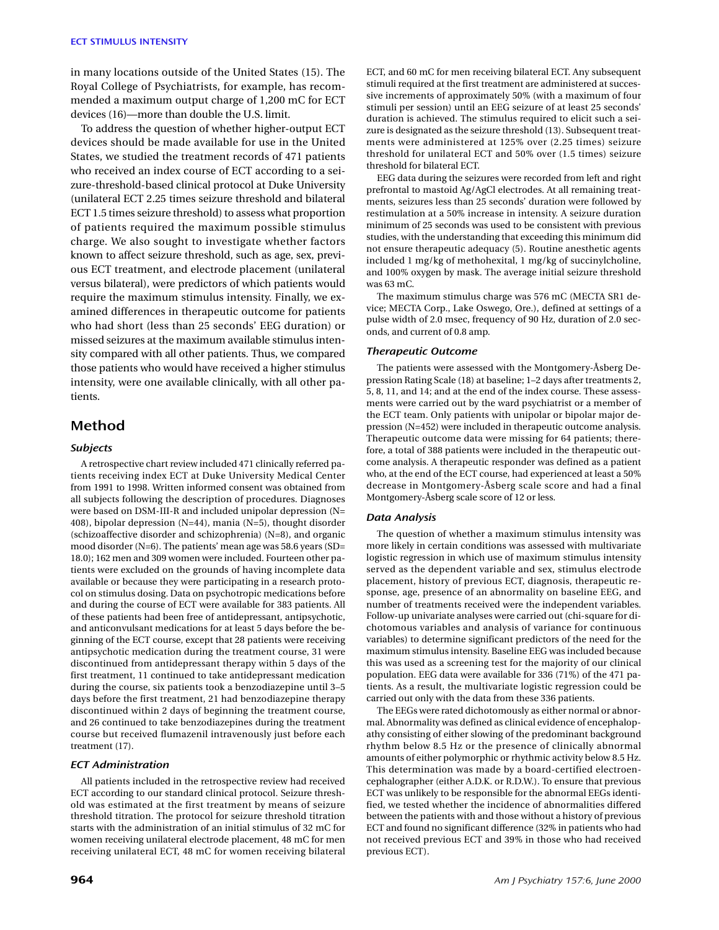in many locations outside of the United States (15). The Royal College of Psychiatrists, for example, has recommended a maximum output charge of 1,200 mC for ECT devices (16)—more than double the U.S. limit.

To address the question of whether higher-output ECT devices should be made available for use in the United States, we studied the treatment records of 471 patients who received an index course of ECT according to a seizure-threshold-based clinical protocol at Duke University (unilateral ECT 2.25 times seizure threshold and bilateral ECT 1.5 times seizure threshold) to assess what proportion of patients required the maximum possible stimulus charge. We also sought to investigate whether factors known to affect seizure threshold, such as age, sex, previous ECT treatment, and electrode placement (unilateral versus bilateral), were predictors of which patients would require the maximum stimulus intensity. Finally, we examined differences in therapeutic outcome for patients who had short (less than 25 seconds' EEG duration) or missed seizures at the maximum available stimulus intensity compared with all other patients. Thus, we compared those patients who would have received a higher stimulus intensity, were one available clinically, with all other patients.

## **Method**

#### *Subjects*

A retrospective chart review included 471 clinically referred patients receiving index ECT at Duke University Medical Center from 1991 to 1998. Written informed consent was obtained from all subjects following the description of procedures. Diagnoses were based on DSM-III-R and included unipolar depression (N= 408), bipolar depression (N=44), mania (N=5), thought disorder (schizoaffective disorder and schizophrenia) (N=8), and organic mood disorder (N=6). The patients' mean age was 58.6 years (SD= 18.0); 162 men and 309 women were included. Fourteen other patients were excluded on the grounds of having incomplete data available or because they were participating in a research protocol on stimulus dosing. Data on psychotropic medications before and during the course of ECT were available for 383 patients. All of these patients had been free of antidepressant, antipsychotic, and anticonvulsant medications for at least 5 days before the beginning of the ECT course, except that 28 patients were receiving antipsychotic medication during the treatment course, 31 were discontinued from antidepressant therapy within 5 days of the first treatment, 11 continued to take antidepressant medication during the course, six patients took a benzodiazepine until 3–5 days before the first treatment, 21 had benzodiazepine therapy discontinued within 2 days of beginning the treatment course, and 26 continued to take benzodiazepines during the treatment course but received flumazenil intravenously just before each treatment (17).

#### *ECT Administration*

All patients included in the retrospective review had received ECT according to our standard clinical protocol. Seizure threshold was estimated at the first treatment by means of seizure threshold titration. The protocol for seizure threshold titration starts with the administration of an initial stimulus of 32 mC for women receiving unilateral electrode placement, 48 mC for men receiving unilateral ECT, 48 mC for women receiving bilateral ECT, and 60 mC for men receiving bilateral ECT. Any subsequent stimuli required at the first treatment are administered at successive increments of approximately 50% (with a maximum of four stimuli per session) until an EEG seizure of at least 25 seconds' duration is achieved. The stimulus required to elicit such a seizure is designated as the seizure threshold (13). Subsequent treatments were administered at 125% over (2.25 times) seizure threshold for unilateral ECT and 50% over (1.5 times) seizure threshold for bilateral ECT.

EEG data during the seizures were recorded from left and right prefrontal to mastoid Ag/AgCl electrodes. At all remaining treatments, seizures less than 25 seconds' duration were followed by restimulation at a 50% increase in intensity. A seizure duration minimum of 25 seconds was used to be consistent with previous studies, with the understanding that exceeding this minimum did not ensure therapeutic adequacy (5). Routine anesthetic agents included 1 mg/kg of methohexital, 1 mg/kg of succinylcholine, and 100% oxygen by mask. The average initial seizure threshold was 63 mC.

The maximum stimulus charge was 576 mC (MECTA SR1 device; MECTA Corp., Lake Oswego, Ore.), defined at settings of a pulse width of 2.0 msec, frequency of 90 Hz, duration of 2.0 seconds, and current of 0.8 amp.

#### *Therapeutic Outcome*

The patients were assessed with the Montgomery-Åsberg Depression Rating Scale (18) at baseline; 1–2 days after treatments 2, 5, 8, 11, and 14; and at the end of the index course. These assessments were carried out by the ward psychiatrist or a member of the ECT team. Only patients with unipolar or bipolar major depression (N=452) were included in therapeutic outcome analysis. Therapeutic outcome data were missing for 64 patients; therefore, a total of 388 patients were included in the therapeutic outcome analysis. A therapeutic responder was defined as a patient who, at the end of the ECT course, had experienced at least a 50% decrease in Montgomery-Åsberg scale score and had a final Montgomery-Åsberg scale score of 12 or less.

#### *Data Analysis*

The question of whether a maximum stimulus intensity was more likely in certain conditions was assessed with multivariate logistic regression in which use of maximum stimulus intensity served as the dependent variable and sex, stimulus electrode placement, history of previous ECT, diagnosis, therapeutic response, age, presence of an abnormality on baseline EEG, and number of treatments received were the independent variables. Follow-up univariate analyses were carried out (chi-square for dichotomous variables and analysis of variance for continuous variables) to determine significant predictors of the need for the maximum stimulus intensity. Baseline EEG was included because this was used as a screening test for the majority of our clinical population. EEG data were available for 336 (71%) of the 471 patients. As a result, the multivariate logistic regression could be carried out only with the data from these 336 patients.

The EEGs were rated dichotomously as either normal or abnormal. Abnormality was defined as clinical evidence of encephalopathy consisting of either slowing of the predominant background rhythm below 8.5 Hz or the presence of clinically abnormal amounts of either polymorphic or rhythmic activity below 8.5 Hz. This determination was made by a board-certified electroencephalographer (either A.D.K. or R.D.W.). To ensure that previous ECT was unlikely to be responsible for the abnormal EEGs identified, we tested whether the incidence of abnormalities differed between the patients with and those without a history of previous ECT and found no significant difference (32% in patients who had not received previous ECT and 39% in those who had received previous ECT).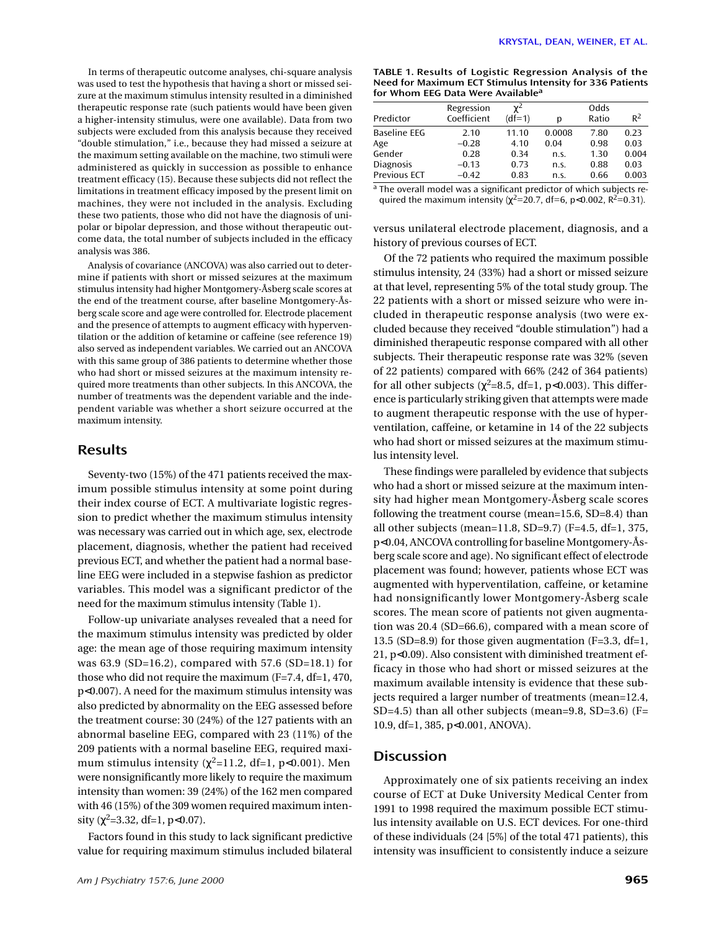In terms of therapeutic outcome analyses, chi-square analysis was used to test the hypothesis that having a short or missed seizure at the maximum stimulus intensity resulted in a diminished therapeutic response rate (such patients would have been given a higher-intensity stimulus, were one available). Data from two subjects were excluded from this analysis because they received "double stimulation," i.e., because they had missed a seizure at the maximum setting available on the machine, two stimuli were administered as quickly in succession as possible to enhance treatment efficacy (15). Because these subjects did not reflect the limitations in treatment efficacy imposed by the present limit on machines, they were not included in the analysis. Excluding these two patients, those who did not have the diagnosis of unipolar or bipolar depression, and those without therapeutic outcome data, the total number of subjects included in the efficacy analysis was 386.

Analysis of covariance (ANCOVA) was also carried out to determine if patients with short or missed seizures at the maximum stimulus intensity had higher Montgomery-Åsberg scale scores at the end of the treatment course, after baseline Montgomery-Åsberg scale score and age were controlled for. Electrode placement and the presence of attempts to augment efficacy with hyperventilation or the addition of ketamine or caffeine (see reference 19) also served as independent variables. We carried out an ANCOVA with this same group of 386 patients to determine whether those who had short or missed seizures at the maximum intensity required more treatments than other subjects. In this ANCOVA, the number of treatments was the dependent variable and the independent variable was whether a short seizure occurred at the maximum intensity.

## **Results**

Seventy-two (15%) of the 471 patients received the maximum possible stimulus intensity at some point during their index course of ECT. A multivariate logistic regression to predict whether the maximum stimulus intensity was necessary was carried out in which age, sex, electrode placement, diagnosis, whether the patient had received previous ECT, and whether the patient had a normal baseline EEG were included in a stepwise fashion as predictor variables. This model was a significant predictor of the need for the maximum stimulus intensity (Table 1).

Follow-up univariate analyses revealed that a need for the maximum stimulus intensity was predicted by older age: the mean age of those requiring maximum intensity was  $63.9$  (SD=16.2), compared with  $57.6$  (SD=18.1) for those who did not require the maximum (F=7.4, df=1, 470, p<0.007). A need for the maximum stimulus intensity was also predicted by abnormality on the EEG assessed before the treatment course: 30 (24%) of the 127 patients with an abnormal baseline EEG, compared with 23 (11%) of the 209 patients with a normal baseline EEG, required maximum stimulus intensity ( $\chi^2$ =11.2, df=1, p<0.001). Men were nonsignificantly more likely to require the maximum intensity than women: 39 (24%) of the 162 men compared with 46 (15%) of the 309 women required maximum intensity ( $\chi^2$ =3.32, df=1, p<0.07).

Factors found in this study to lack significant predictive value for requiring maximum stimulus included bilateral

| TABLE 1. Results of Logistic Regression Analysis of the  |
|----------------------------------------------------------|
| Need for Maximum ECT Stimulus Intensity for 336 Patients |
| for Whom EEG Data Were Available <sup>a</sup>            |

| Predictor           | Regression<br>Coefficient | $\gamma^2$<br>$(df=1)$ | Ŋ      | Odds<br>Ratio | $R^2$ |
|---------------------|---------------------------|------------------------|--------|---------------|-------|
| <b>Baseline EEG</b> | 2.10                      | 11.10                  | 0.0008 | 7.80          | 0.23  |
| Age                 | $-0.28$                   | 4.10                   | 0.04   | 0.98          | 0.03  |
| Gender              | 0.28                      | 0.34                   | n.S.   | 1.30          | 0.004 |
| <b>Diagnosis</b>    | $-0.13$                   | 0.73                   | n.S.   | 0.88          | 0.03  |
| Previous ECT        | $-0.42$                   | 0.83                   | n.S.   | 0.66          | 0.003 |

<sup>a</sup> The overall model was a significant predictor of which subjects required the maximum intensity ( $\chi^2$ =20.7, df=6, p<0.002, R<sup>2</sup>=0.31).

versus unilateral electrode placement, diagnosis, and a history of previous courses of ECT.

Of the 72 patients who required the maximum possible stimulus intensity, 24 (33%) had a short or missed seizure at that level, representing 5% of the total study group. The 22 patients with a short or missed seizure who were included in therapeutic response analysis (two were excluded because they received "double stimulation") had a diminished therapeutic response compared with all other subjects. Their therapeutic response rate was 32% (seven of 22 patients) compared with 66% (242 of 364 patients) for all other subjects ( $\chi^2$ =8.5, df=1, p<0.003). This difference is particularly striking given that attempts were made to augment therapeutic response with the use of hyperventilation, caffeine, or ketamine in 14 of the 22 subjects who had short or missed seizures at the maximum stimulus intensity level.

These findings were paralleled by evidence that subjects who had a short or missed seizure at the maximum intensity had higher mean Montgomery-Åsberg scale scores following the treatment course (mean=15.6, SD=8.4) than all other subjects (mean=11.8, SD=9.7) (F=4.5, df=1, 375, p<0.04, ANCOVA controlling for baseline Montgomery-Åsberg scale score and age). No significant effect of electrode placement was found; however, patients whose ECT was augmented with hyperventilation, caffeine, or ketamine had nonsignificantly lower Montgomery-Åsberg scale scores. The mean score of patients not given augmentation was 20.4 (SD=66.6), compared with a mean score of 13.5 (SD=8.9) for those given augmentation (F=3.3, df=1, 21, p<0.09). Also consistent with diminished treatment efficacy in those who had short or missed seizures at the maximum available intensity is evidence that these subjects required a larger number of treatments (mean=12.4, SD=4.5) than all other subjects (mean=9.8, SD=3.6) ( $F=$ 10.9, df=1, 385, p<0.001, ANOVA).

### **Discussion**

Approximately one of six patients receiving an index course of ECT at Duke University Medical Center from 1991 to 1998 required the maximum possible ECT stimulus intensity available on U.S. ECT devices. For one-third of these individuals (24 [5%] of the total 471 patients), this intensity was insufficient to consistently induce a seizure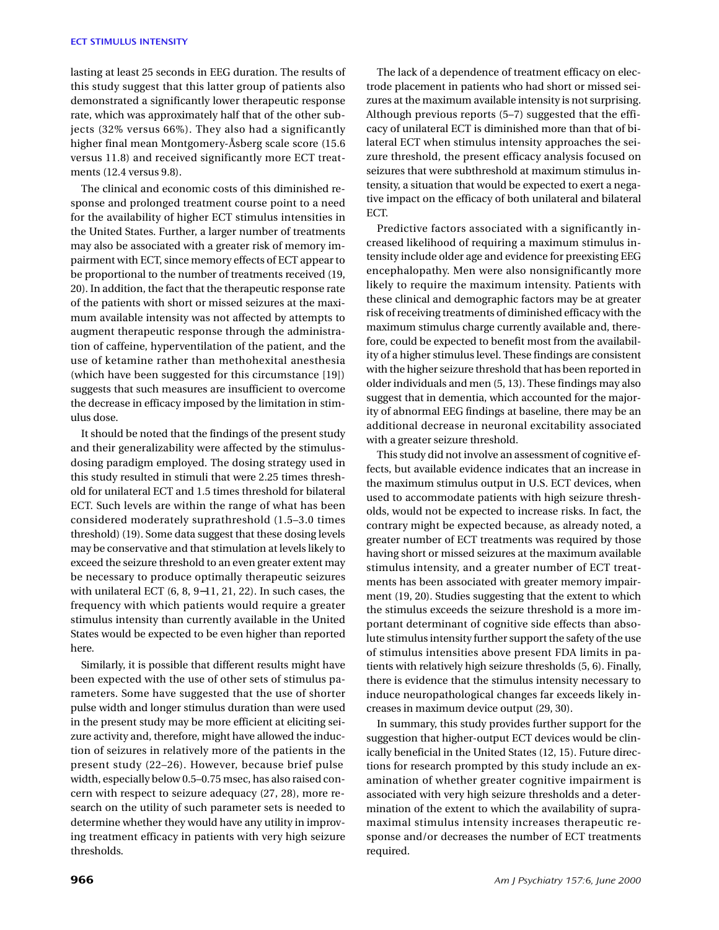#### **ECT STIMULUS INTENSITY**

lasting at least 25 seconds in EEG duration. The results of this study suggest that this latter group of patients also demonstrated a significantly lower therapeutic response rate, which was approximately half that of the other subjects (32% versus 66%). They also had a significantly higher final mean Montgomery-Åsberg scale score (15.6 versus 11.8) and received significantly more ECT treatments (12.4 versus 9.8).

The clinical and economic costs of this diminished response and prolonged treatment course point to a need for the availability of higher ECT stimulus intensities in the United States. Further, a larger number of treatments may also be associated with a greater risk of memory impairment with ECT, since memory effects of ECT appear to be proportional to the number of treatments received (19, 20). In addition, the fact that the therapeutic response rate of the patients with short or missed seizures at the maximum available intensity was not affected by attempts to augment therapeutic response through the administration of caffeine, hyperventilation of the patient, and the use of ketamine rather than methohexital anesthesia (which have been suggested for this circumstance [19]) suggests that such measures are insufficient to overcome the decrease in efficacy imposed by the limitation in stimulus dose.

It should be noted that the findings of the present study and their generalizability were affected by the stimulusdosing paradigm employed. The dosing strategy used in this study resulted in stimuli that were 2.25 times threshold for unilateral ECT and 1.5 times threshold for bilateral ECT. Such levels are within the range of what has been considered moderately suprathreshold (1.5–3.0 times threshold) (19). Some data suggest that these dosing levels may be conservative and that stimulation at levels likely to exceed the seizure threshold to an even greater extent may be necessary to produce optimally therapeutic seizures with unilateral ECT (6, 8, 9−11, 21, 22). In such cases, the frequency with which patients would require a greater stimulus intensity than currently available in the United States would be expected to be even higher than reported here.

Similarly, it is possible that different results might have been expected with the use of other sets of stimulus parameters. Some have suggested that the use of shorter pulse width and longer stimulus duration than were used in the present study may be more efficient at eliciting seizure activity and, therefore, might have allowed the induction of seizures in relatively more of the patients in the present study (22–26). However, because brief pulse width, especially below 0.5–0.75 msec, has also raised concern with respect to seizure adequacy (27, 28), more research on the utility of such parameter sets is needed to determine whether they would have any utility in improving treatment efficacy in patients with very high seizure thresholds.

The lack of a dependence of treatment efficacy on electrode placement in patients who had short or missed seizures at the maximum available intensity is not surprising. Although previous reports (5–7) suggested that the efficacy of unilateral ECT is diminished more than that of bilateral ECT when stimulus intensity approaches the seizure threshold, the present efficacy analysis focused on seizures that were subthreshold at maximum stimulus intensity, a situation that would be expected to exert a negative impact on the efficacy of both unilateral and bilateral ECT.

Predictive factors associated with a significantly increased likelihood of requiring a maximum stimulus intensity include older age and evidence for preexisting EEG encephalopathy. Men were also nonsignificantly more likely to require the maximum intensity. Patients with these clinical and demographic factors may be at greater risk of receiving treatments of diminished efficacy with the maximum stimulus charge currently available and, therefore, could be expected to benefit most from the availability of a higher stimulus level. These findings are consistent with the higher seizure threshold that has been reported in older individuals and men (5, 13). These findings may also suggest that in dementia, which accounted for the majority of abnormal EEG findings at baseline, there may be an additional decrease in neuronal excitability associated with a greater seizure threshold.

This study did not involve an assessment of cognitive effects, but available evidence indicates that an increase in the maximum stimulus output in U.S. ECT devices, when used to accommodate patients with high seizure thresholds, would not be expected to increase risks. In fact, the contrary might be expected because, as already noted, a greater number of ECT treatments was required by those having short or missed seizures at the maximum available stimulus intensity, and a greater number of ECT treatments has been associated with greater memory impairment (19, 20). Studies suggesting that the extent to which the stimulus exceeds the seizure threshold is a more important determinant of cognitive side effects than absolute stimulus intensity further support the safety of the use of stimulus intensities above present FDA limits in patients with relatively high seizure thresholds (5, 6). Finally, there is evidence that the stimulus intensity necessary to induce neuropathological changes far exceeds likely increases in maximum device output (29, 30).

In summary, this study provides further support for the suggestion that higher-output ECT devices would be clinically beneficial in the United States (12, 15). Future directions for research prompted by this study include an examination of whether greater cognitive impairment is associated with very high seizure thresholds and a determination of the extent to which the availability of supramaximal stimulus intensity increases therapeutic response and/or decreases the number of ECT treatments required.